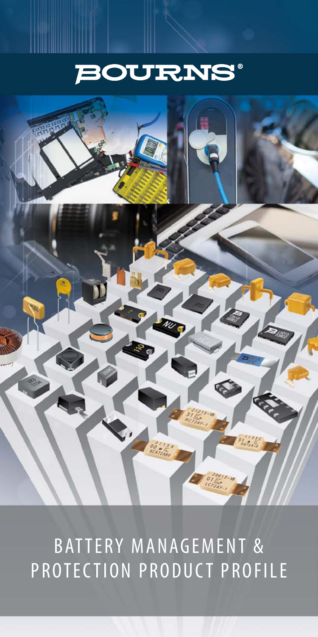



BATTERY MANAGEMENT & PROTECTION PRODUCT PROFILE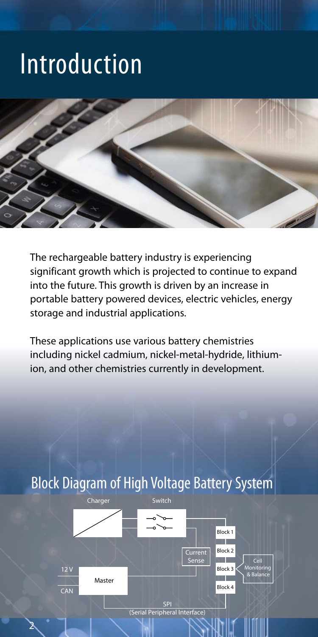# Introduction



The rechargeable battery industry is experiencing significant growth which is projected to continue to expand into the future. This growth is driven by an increase in portable battery powered devices, electric vehicles, energy storage and industrial applications.

These applications use various battery chemistries including nickel cadmium, nickel-metal-hydride, lithiumion, and other chemistries currently in development.

#### Block Diagram of High Voltage Battery System 2 Charger **Mactor** Switch SPI (Serial Peripheral Interface)  $12<sub>1</sub>$ CAN **Current** Sense Block 1 Cell Monitoring & Balance Block 2 Block 3 Block 4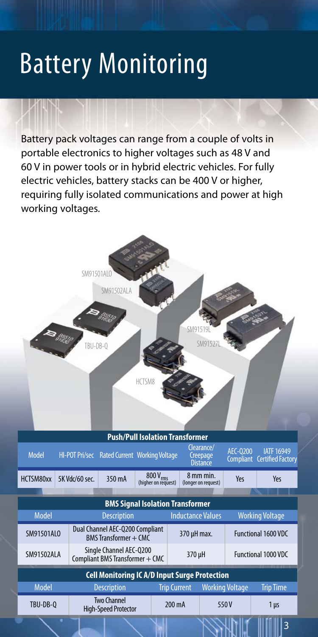# Battery Monitoring

Battery pack voltages can range from a couple of volts in portable electronics to higher voltages such as 48 V and 60 V in power tools or in hybrid electric vehicles. For fully electric vehicles, battery stacks can be 400 V or higher, requiring fully isolated communications and power at high working voltages.

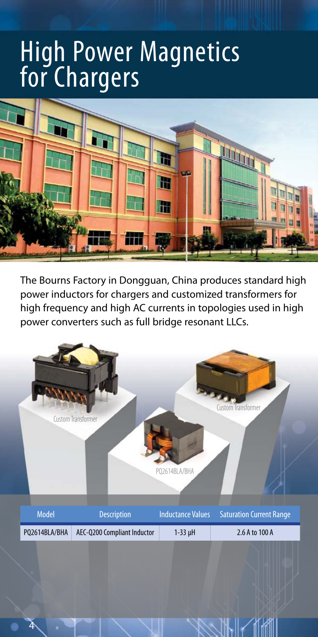## High Power Magnetics for Chargers



The Bourns Factory in Dongguan, China produces standard high power inductors for chargers and customized transformers for high frequency and high AC currents in topologies used in high power converters such as full bridge resonant LLCs.

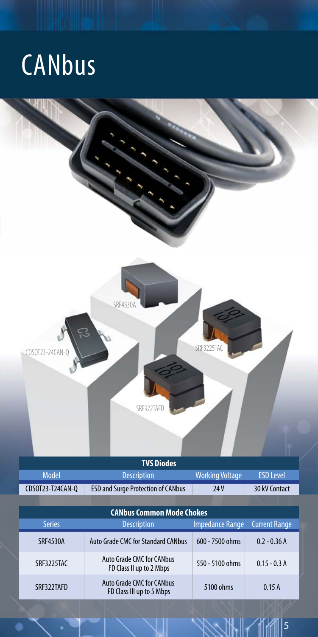# **CANbus**

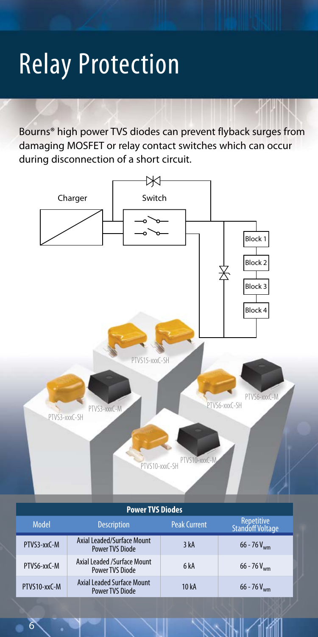# Relay Protection

Bourns® high power TVS diodes can prevent flyback surges from damaging MOSFET or relay contact switches which can occur during disconnection of a short circuit.



#### **Power TVS Diodes**

| <b>Model</b> | <b>Description</b>                                          | <b>Peak Current</b> | Repetitive<br>Standoff Voltage |
|--------------|-------------------------------------------------------------|---------------------|--------------------------------|
| PTVS3-xxC-M  | Axial Leaded/Surface Mount<br><b>Power TVS Diode</b>        | 3 kA                | $66 - 76 V_{\text{w}}$         |
| PTVS6-xxC-M  | Axial Leaded /Surface Mount<br><b>Power TVS Diode</b>       | 6 <sub>k</sub> A    | $66 - 76$ V <sub>wm</sub>      |
| PTVS10-xxC-M | <b>Axial Leaded Surface Mount</b><br><b>Power TVS Diode</b> | 10 kA               | $66 - 76 V_{wm}$               |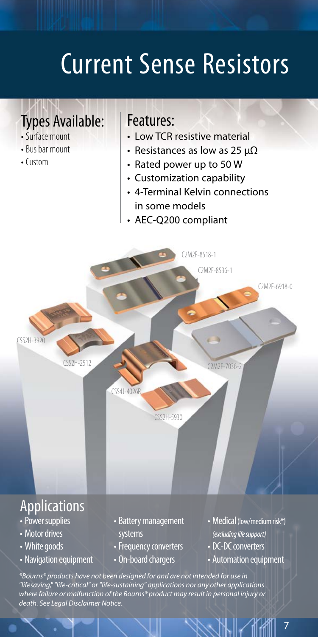# Current Sense Resistors

### Types Available:

- Surface mount
- Bus bar mount
- Custom

#### Features:

- Low TCR resistive material
- Resistances as low as 25 µΩ
- Rated power up to 50 W
- Customization capability
- 4-Terminal Kelvin connections in some models
- AEC-Q200 compliant



*\*Bourns® products have not been designed for and are not intended for use in "lifesaving," "life-critical" or "life-sustaining" applications nor any other applications where failure or malfunction of the Bourns® product may result in personal injury or death. See Legal Disclaimer Notice.*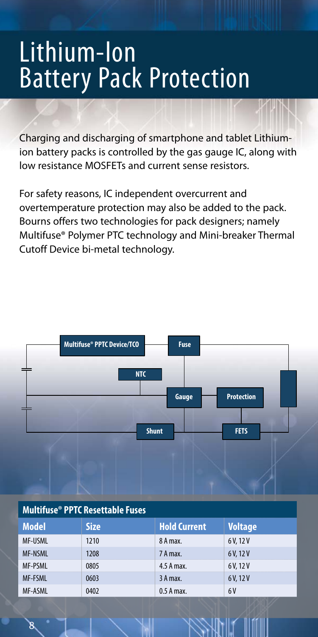## Lithium-Ion Battery Pack Protection

Charging and discharging of smartphone and tablet Lithiumion battery packs is controlled by the gas gauge IC, along with low resistance MOSFETs and current sense resistors.

For safety reasons, IC independent overcurrent and overtemperature protection may also be added to the pack. Bourns offers two technologies for pack designers; namely Multifuse® Polymer PTC technology and Mini-breaker Thermal Cutoff Device bi-metal technology.



#### **Multifuse® PPTC Resettable Fuses**

| <b>Model</b>   | <b>Size</b> | <b>Hold Current</b> | <b>Voltage</b> |
|----------------|-------------|---------------------|----------------|
| <b>MF-USML</b> | 1210        | 8 A max.            | 6V, 12V        |
| <b>MF-NSML</b> | 1208        | 7 A max.            | 6V.12V         |
| <b>MF-PSML</b> | 0805        | 4.5 A max.          | 6V.12V         |
| <b>MF-FSML</b> | 0603        | 3 A max.            | 6 V. 12 V      |
| <b>MF-ASML</b> | 0402        | 0.5 A max.          | 6 V            |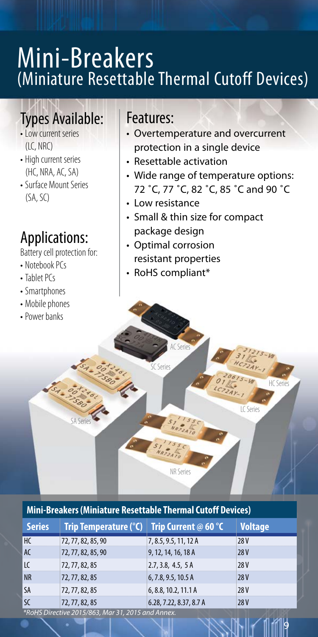## Mini-Breakers (Miniature Resettable Thermal Cutoff Devices)

## Types Available:

- Low current series  $(IC, NRC)$
- High current series (HC, NRA, AC, SA)
- Surface Mount Series (SA, SC)

## Applications:

Battery cell protection for:

SA Series

**SALES SEARCH PASSAGE** 

- Notebook PCs
- Tablet PCs
- Smartphones
- Mobile phones
- Power banks

#### Features:

- Overtemperature and overcurrent protection in a single device
- Resettable activation
- Wide range of temperature options: 72 ˚C, 77 ˚C, 82 ˚C, 85 ˚C and 90 ˚C
- Low resistance
- Small & thin size for compact package design
- Optimal corrosion resistant properties

AC Series

NR Series

SC Series

• RoHS compliant\*

#### **Mini-Breakers (Miniature Resettable Thermal Cutoff Devices)**

| <b>Series</b> | Trip Temperature (°C) | Trip Current @ 60 $^{\circ}$ C | <b>Voltage</b> |
|---------------|-----------------------|--------------------------------|----------------|
| HC            | 72, 77, 82, 85, 90    | 7, 8.5, 9.5, 11, 12 A          | 28V            |
| AC            | 72, 77, 82, 85, 90    | 9, 12, 14, 16, 18 A            | <b>28V</b>     |
| LC            | 72, 77, 82, 85        | 2.7, 3.8, 4.5, 5A              | 28V            |
| <b>NR</b>     | 72, 77, 82, 85        | 6,7.8,9.5,10.5A                | <b>28V</b>     |
| <b>SA</b>     | 72, 77, 82, 85        | 6, 8.8, 10.2, 11.1 A           | 28V            |
| <b>SC</b>     | 72, 77, 82, 85        | 6.28, 7.22, 8.37, 8.7 A        | 28V            |

*\*RoHS Directive 2015/863, Mar 31, 2015 and Annex.*



LC Serie

HC Series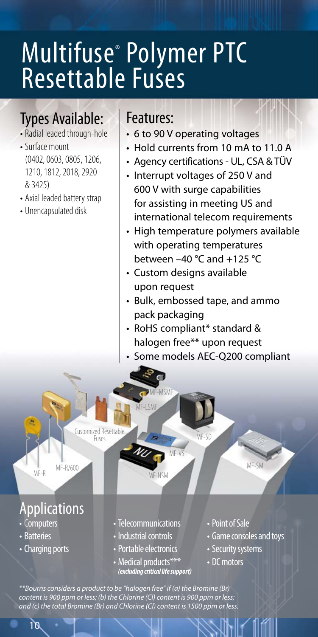# Multifuse® Polymer PTC Resettable Fuses

## Types Available:

- Radial leaded through-hole
- Surface mount (0402, 0603, 0805, 1206, 1210, 1812, 2018, 2920 & 3425)
- Axial leaded battery strap
- Unencapsulated disk

#### Features:

- 6 to 90 V operating voltages
- Hold currents from 10 mA to 11.0 A
- Agency certifications UL, CSA & TÜV
- Interrupt voltages of 250 V and 600 V with surge capabilities for assisting in meeting US and international telecom requirements
- High temperature polymers available with operating temperatures between  $-40$  °C and  $+125$  °C
- Custom designs available upon request
- Bulk, embossed tape, and ammo pack packaging
- RoHS compliant\* standard & halogen free\*\* upon request
- Some models AEC-Q200 compliant

Customized Resettable Fuses MF-SD

MF-R/600 MF-R

## **Applications**

- Computers
- Batteries
- Charging ports
- Telecommunications

MF-MSMF E LCM

MF-NSML

MF-VS

- Industrial controls
- Portable electronics
- Medical products\*\*\* *(excluding critical life support)*
- •Point of Sale
- Game consoles and toys

MF-SM

- Security systems
- DC motors

*\*\*Bourns considers a product to be "halogen free" if (a) the Bromine (Br) content is 900 ppm or less; (b) the Chlorine (Cl) content is 900 ppm or less; and (c) the total Bromine (Br) and Chlorine (Cl) content is 1500 ppm or less.*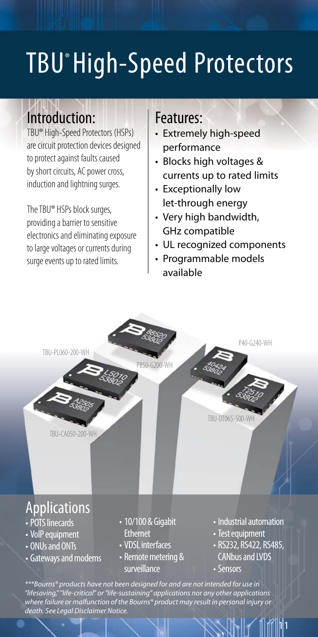# TBU<sup>®</sup> High-Speed Protectors

## Introduction:

TBU® High-Speed Protectors (HSPs) are circuit protection devices designed to protect against faults caused by short circuits, AC power cross, induction and lightning surges.

The TBU® HSPs block surges, providing a barrier to sensitive electronics and eliminating exposure to large voltages or currents during surge events up to rated limits.

#### Features:

- Extremely high-speed performance
- Blocks high voltages & currents up to rated limits
- Exceptionally low let-through energy
- Very high bandwidth, GHz compatible
- UL recognized components
- Programmable models available



• Sensors

|1|1

*\*\*\*Bourns® products have not been designed for and are not intended for use in "lifesaving," "life-critical" or "life-sustaining" applications nor any other applications where failure or malfunction of the Bourns® product may result in personal injury or death. See Legal Disclaimer Notice.*